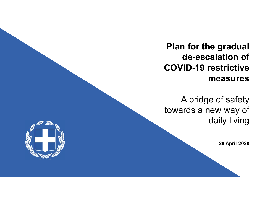Plan for the gradual de-escalation of COVID-19 restrictive measures

A bridge of safety towards a new way of daily living

28 April 2020

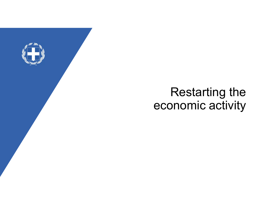

# Restarting the economic activity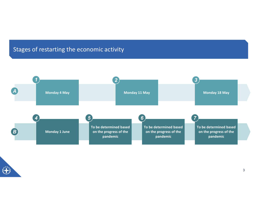# Stages of restarting the economic activity

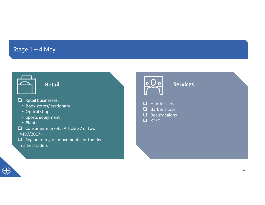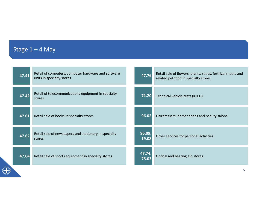|       | Stage $1 - 4$ May                                                                |                 |                                                                                                      |
|-------|----------------------------------------------------------------------------------|-----------------|------------------------------------------------------------------------------------------------------|
|       |                                                                                  |                 |                                                                                                      |
| 47.41 | Retail of computers, computer hardware and software<br>units in specialty stores | 47.76           | Retail sale of flowers, plants, seeds, fertilizers, pets and<br>related pet food in specialty stores |
| 47.42 | Retail of telecommunications equipment in specialty<br>stores                    | 71.20           | Technical vehicle tests (KTEO)                                                                       |
| 47.61 | Retail sale of books in specialty stores                                         | 96.02           | Hairdressers, barber shops and beauty salons                                                         |
| 47.62 | Retail sale of newspapers and stationery in specialty<br>stores                  | 96.09.<br>19.08 | Other services for personal activities                                                               |
| 47.64 | Retail sale of sports equipment in specialty stores                              | 47.74.<br>75.03 | Optical and hearing aid stores                                                                       |
|       |                                                                                  |                 | $\overline{5}$                                                                                       |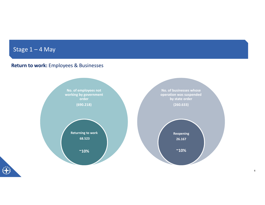# Return to work: Employees & Businesses Stage 1 – 4 May<br>Return to work: Employees & Businesses



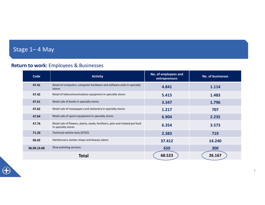## Return to work: Employees & Businesses

| Stage 1-4 May |                                                                                                      |                      |                   |
|---------------|------------------------------------------------------------------------------------------------------|----------------------|-------------------|
|               |                                                                                                      |                      |                   |
|               | <b>Return to work:</b> Employees & Businesses                                                        |                      |                   |
|               |                                                                                                      | No. of employees and |                   |
| Code          | <b>Activity</b>                                                                                      | entrepreneurs        | No. of businesses |
| 47.41         | Retail of computers, computer hardware and software units in specialty<br>stores                     | 4.841                | 1.114             |
|               |                                                                                                      | 5.415                | 1.483             |
| 47.42         | Retail of telecommunications equipment in specialty stores                                           |                      |                   |
| 47.61         | Retail sale of books in specialty stores                                                             | 3.347                | 1.796             |
| 47.62         | Retail sale of newspapers and stationery in specialty stores                                         | 1.217                | 707               |
| 47.64         | Retail sale of sports equipment in specialty stores                                                  | 6.904                | 2.235             |
| 47.76         | Retail sale of flowers, plants, seeds, fertilizers, pets and related pet food<br>in specialty stores | 6.354                | 3.573             |
| 71.20         | Technical vehicle tests (KTEO)                                                                       | 2.383                | 719               |
| 96.02         | Hairdressers, barber shops and beauty salons                                                         | 37.412               | 14.240            |
| 96.09.19.08   | Shoe polishing services                                                                              | 650                  | 300               |

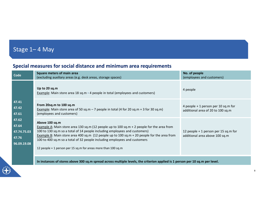# Special measures for social distance and minimum area requirements Stage 1— 4 May<br>Special measures for social distance and minimum area req

| Stage 1-4 May<br>Special measures for social distance and minimum area requirements<br>No. of people<br><b>Square meters of main area</b><br>Code<br>(employees and customers)<br>(excluding auxiliary areas (e.g. desk areas, storage spaces)<br>Up to 20 sq.m<br>4 people<br>Example: Main store area 18 sq.m - 4 people in total (employees and customers)<br>47.41<br>From 20sq.m to 100 sq.m<br>4 people + 1 person per 10 sq.m for<br>47.42<br>Example: Main store area of 50 sq.m $-$ 7 people in total (4 for 20 sq.m + 3 for 30 sq.m)<br>additional area of 20 to 100 sq.m<br>(employees and customers)<br>47.61<br>47.62<br>Above 100 sq.m<br>47.64<br><b>Example A:</b> Main store area 130 sq.m (12 people up to 100 sq.m + 2 people for the area from<br>100 to 130 sq.m so a total of 14 people including employees and customers)<br>12 people + 1 person per 15 sq.m for<br>47.74.75.03<br>Example B: Main store area 400 sq.m (12 people up to 100 sq.m + 20 people for the area from<br>additional area above 100 sq.m<br>47.76<br>100 to 400 sq.m so a total of 32 people including employees and customers<br>96.09.19.08<br>12 people + 1 person per 15 sq.m for areas more than 100 sq.m | In instances of stores above 300 sq.m spread across multiple levels, the criterion applied is 1 person per 10 sq.m per level. |  |  |
|----------------------------------------------------------------------------------------------------------------------------------------------------------------------------------------------------------------------------------------------------------------------------------------------------------------------------------------------------------------------------------------------------------------------------------------------------------------------------------------------------------------------------------------------------------------------------------------------------------------------------------------------------------------------------------------------------------------------------------------------------------------------------------------------------------------------------------------------------------------------------------------------------------------------------------------------------------------------------------------------------------------------------------------------------------------------------------------------------------------------------------------------------------------------------------------------------------------|-------------------------------------------------------------------------------------------------------------------------------|--|--|
|                                                                                                                                                                                                                                                                                                                                                                                                                                                                                                                                                                                                                                                                                                                                                                                                                                                                                                                                                                                                                                                                                                                                                                                                                |                                                                                                                               |  |  |
|                                                                                                                                                                                                                                                                                                                                                                                                                                                                                                                                                                                                                                                                                                                                                                                                                                                                                                                                                                                                                                                                                                                                                                                                                |                                                                                                                               |  |  |
|                                                                                                                                                                                                                                                                                                                                                                                                                                                                                                                                                                                                                                                                                                                                                                                                                                                                                                                                                                                                                                                                                                                                                                                                                |                                                                                                                               |  |  |
|                                                                                                                                                                                                                                                                                                                                                                                                                                                                                                                                                                                                                                                                                                                                                                                                                                                                                                                                                                                                                                                                                                                                                                                                                |                                                                                                                               |  |  |
|                                                                                                                                                                                                                                                                                                                                                                                                                                                                                                                                                                                                                                                                                                                                                                                                                                                                                                                                                                                                                                                                                                                                                                                                                |                                                                                                                               |  |  |
|                                                                                                                                                                                                                                                                                                                                                                                                                                                                                                                                                                                                                                                                                                                                                                                                                                                                                                                                                                                                                                                                                                                                                                                                                |                                                                                                                               |  |  |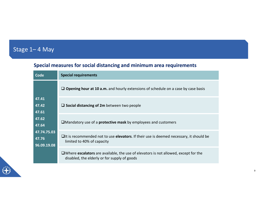# Special measures for social distancing and minimum area requirements Stage 1– 4 May<br>Special measures for social distancing and minimu

| - 4 May                                                                          |                                                                                                                                               |
|----------------------------------------------------------------------------------|-----------------------------------------------------------------------------------------------------------------------------------------------|
|                                                                                  | Special measures for social distancing and minimum area requirements                                                                          |
| Code                                                                             | <b>Special requirements</b>                                                                                                                   |
| 47.41<br>47.42<br>47.61<br>47.62<br>47.64<br>47.74.75.03<br>47.76<br>96.09.19.08 | $\Box$ Opening hour at 10 a.m. and hourly extensions of schedule on a case by case basis                                                      |
|                                                                                  | $\square$ Social distancing of 2m between two people                                                                                          |
|                                                                                  | $\square$ Mandatory use of a <b>protective mask</b> by employees and customers                                                                |
|                                                                                  | $\Box$ It is recommended not to use elevators. If their use is deemed necessary, it should be<br>limited to 40% of capacity                   |
|                                                                                  | $\square$ Where escalators are available, the use of elevators is not allowed, except for the<br>disabled, the elderly or for supply of goods |

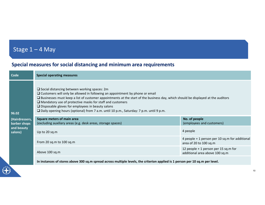# Stage 1 – 4 May<br>Special measures for social distancing and minimum area readers Special measures for social distancing and minimum area requirements

|                                                                      | Stage $1 - 4$ May                                                                                                                                                                                                                                                                                                                                                                                                                                                                                                     |                                                                          |  |  |  |
|----------------------------------------------------------------------|-----------------------------------------------------------------------------------------------------------------------------------------------------------------------------------------------------------------------------------------------------------------------------------------------------------------------------------------------------------------------------------------------------------------------------------------------------------------------------------------------------------------------|--------------------------------------------------------------------------|--|--|--|
| Special measures for social distancing and minimum area requirements |                                                                                                                                                                                                                                                                                                                                                                                                                                                                                                                       |                                                                          |  |  |  |
| Code                                                                 | <b>Special operating measures</b>                                                                                                                                                                                                                                                                                                                                                                                                                                                                                     |                                                                          |  |  |  |
| 96.02                                                                | $\square$ Social distancing between working spaces: 2m<br>$\square$ Customers will only be allowed in following an appointment by phone or email<br>□ Businesses must keep a list of customer appointments at the start of the business day, which should be displayed at the auditors<br>$\Box$ Mandatory use of protective masks for staff and customers<br>$\square$ Disposable gloves for employees in beauty salons<br>□ Daily opening hours (optional) from 7 a.m. until 10 p.m., Saturday: 7 p.m. until 9 p.m. |                                                                          |  |  |  |
| (Hairdressers,<br>barber shops                                       | Square meters of main area<br>(excluding auxiliary areas (e.g. desk areas, storage spaces)                                                                                                                                                                                                                                                                                                                                                                                                                            | No. of people<br>(employees and customers)                               |  |  |  |
| and beauty<br>salons)                                                | Up to 20 sq.m                                                                                                                                                                                                                                                                                                                                                                                                                                                                                                         | 4 people                                                                 |  |  |  |
|                                                                      | From 20 sq.m to 100 sq.m                                                                                                                                                                                                                                                                                                                                                                                                                                                                                              | 4 people + 1 person per 10 sq.m for additional<br>area of 20 to 100 sq.m |  |  |  |
|                                                                      | Above 100 sq.m                                                                                                                                                                                                                                                                                                                                                                                                                                                                                                        | 12 people + 1 person per 15 sq.m for<br>additional area above 100 sq.m   |  |  |  |
|                                                                      | In instances of stores above 300 sq.m spread across multiple levels, the criterion applied is 1 person per 10 sq.m per level.                                                                                                                                                                                                                                                                                                                                                                                         |                                                                          |  |  |  |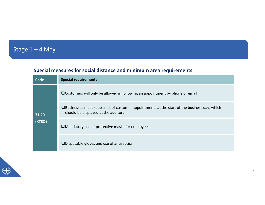# Stage 1 – 4 May<br>Special measures for social distance and minimum Special measures for social distance and minimum area requirements

| $-4$ May        |                                                                                                                                               |  |
|-----------------|-----------------------------------------------------------------------------------------------------------------------------------------------|--|
|                 | Special measures for social distance and minimum area requirements                                                                            |  |
| <b>Code</b>     | <b>Special requirements</b>                                                                                                                   |  |
|                 | □ Customers will only be allowed in following an appointment by phone or email                                                                |  |
| 71.20<br>(KTEO) | $\square$ Businesses must keep a list of customer appointments at the start of the business day, which<br>should be displayed at the auditors |  |
|                 | $\square$ Mandatory use of protective masks for employees                                                                                     |  |
|                 |                                                                                                                                               |  |

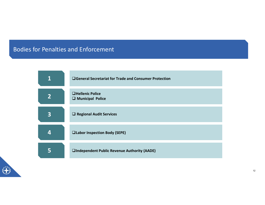## Bodies for Penalties and Enforcement

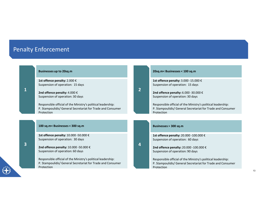# Penalty Enforcement

|                         | nalty Enforcement                                                                                                                         |                |                                                                                                                                           |
|-------------------------|-------------------------------------------------------------------------------------------------------------------------------------------|----------------|-------------------------------------------------------------------------------------------------------------------------------------------|
|                         | <b>Businesses up to 20sq.m</b>                                                                                                            |                | 20sq.m< Businesses < 100 sq.m                                                                                                             |
|                         | 1st offence penalty: 2.000 €<br>Suspension of operation: 15 days                                                                          |                | 1st offence penalty: 3.000 -15.000 €<br>Suspension of operation: 15 days                                                                  |
| $\mathbf{1}$            | 2nd offence penalty: 4.000 €<br>Suspension of operation: 30 days                                                                          | $\overline{2}$ | 2nd offence penalty: 6.000 -30.000 €<br>Suspension of operation: 30 days                                                                  |
|                         | Responsible official of the Ministry's political leadership:<br>P. Stampoulidis/ General Secretariat for Trade and Consumer<br>Protection |                | Responsible official of the Ministry's political leadership:<br>P. Stampoulidis/ General Secretariat for Trade and Consumer<br>Protection |
|                         | 100 sq.m< Businesses < 300 sq.m                                                                                                           |                | Businesses > 300 sq.m                                                                                                                     |
|                         | 1st offence penalty: 10.000 -50.000 €                                                                                                     |                | 1st offence penalty: 20.000 -100.000 €                                                                                                    |
|                         | Suspension of operation: 30 days                                                                                                          |                |                                                                                                                                           |
| $\overline{\mathbf{3}}$ | 2nd offence penalty: 10.000 -50.000 €<br>Suspension of operation: 60 days                                                                 | 4              | Suspension of operation: 60 days<br>2nd offence penalty: 20.000 -100.000 €<br>Suspension of operation: 90 days                            |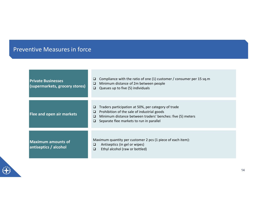# Preventive Measures in force

| <b>Private Businesses</b><br>(supermarkets, grocery stores) | Compliance with the ratio of one (1) customer / consumer per 15 sq.m<br>Minimum distance of 2m between people<br>⊔<br>Queues up to five (5) individuals<br>$\Box$                                                       |  |
|-------------------------------------------------------------|-------------------------------------------------------------------------------------------------------------------------------------------------------------------------------------------------------------------------|--|
| Flee and open air markets                                   | Traders participation at 50%, per category of trade<br>Prohibition of the sale of industrial goods<br>Minimum distance between traders' benches: five (5) meters<br>⊔<br>Separate flee markets to run in parallel<br>❏. |  |
| <b>Maximum amounts of</b><br>antiseptics / alcohol          | Maximum quantity per customer 2 pcs (1 piece of each item):<br>Antiseptics (in gel or wipes)<br>⊔<br>Ethyl alcohol (raw or bottled)<br>◻                                                                                |  |

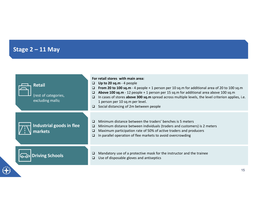# Stage 2 – 11 May

O

| Stage $2 - 11$ May                                        |                                                                                                                                                                                                                                                                                                                                                                                                                                                                                        |
|-----------------------------------------------------------|----------------------------------------------------------------------------------------------------------------------------------------------------------------------------------------------------------------------------------------------------------------------------------------------------------------------------------------------------------------------------------------------------------------------------------------------------------------------------------------|
| <b>Retail</b><br>(rest of categories,<br>excluding malls) | For retail stores with main area:<br>Up to 20 sq.m - 4 people<br>$\Box$<br>From 20 to 100 sq.m - 4 people + 1 person per 10 sq.m for additional area of 20 to 100 sq.m<br>$\Box$<br>Above 100 sq.m - 12 people + 1 person per 15 sq.m for additional area above 100 sq.m<br>$\Box$<br>In cases of stores above 300 sq.m spread across multiple levels, the level criterion applies, i.e.<br>$\Box$<br>1 person per 10 sq.m per level.<br>$\Box$ Social distancing of 2m between people |
| Industrial goods in flee<br>markets                       | Minimum distance between the traders' benches is 5 meters<br>$\Box$<br>Minimum distance between individuals (traders and customers) is 2 meters<br>$\Box$<br>Maximum participation rate of 50% of active traders and producers<br>$\Box$<br>In parallel operation of flee markets to avoid overcrowding<br>$\Box$                                                                                                                                                                      |
| <b>Driving Schools</b>                                    | Mandatory use of a protective mask for the instructor and the trainee<br>$\Box$<br>Use of disposable gloves and antiseptics<br>$\Box$                                                                                                                                                                                                                                                                                                                                                  |
|                                                           | 15                                                                                                                                                                                                                                                                                                                                                                                                                                                                                     |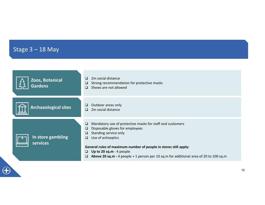| Stage $3 - 18$ May                                                                                                                                     |  |
|--------------------------------------------------------------------------------------------------------------------------------------------------------|--|
|                                                                                                                                                        |  |
| $\Box$ 2m social distance<br>Zoos, Botanical<br>Strong recommendation for protective masks<br>$\Box$<br><b>Gardens</b><br>$\Box$ Shows are not allowed |  |
|                                                                                                                                                        |  |
| Outdoor areas only<br>$\Box$<br><b>Archaeological sites</b><br>2m social distance<br>$\Box$                                                            |  |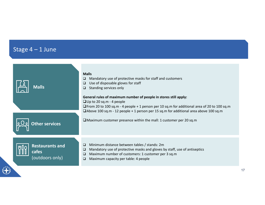G

| Stage $4 - 1$ June                                 |                                                                                                                                                                                                                                                                                                                                                                                                                                                                                                                                                                    |    |
|----------------------------------------------------|--------------------------------------------------------------------------------------------------------------------------------------------------------------------------------------------------------------------------------------------------------------------------------------------------------------------------------------------------------------------------------------------------------------------------------------------------------------------------------------------------------------------------------------------------------------------|----|
| <b>Malls</b><br>Other services                     | <b>Malls</b><br>Mandatory use of protective masks for staff and customers<br>$\Box$<br>Use of disposable gloves for staff<br>$\Box$<br>Standing services only<br>$\Box$<br>General rules of maximum number of people in stores still apply:<br>$\Box$ Up to 20 sq.m - 4 people<br>$\Box$ From 20 to 100 sq.m - 4 people + 1 person per 10 sq.m for additional area of 20 to 100 sq.m<br>$\Box$ Above 100 sq.m - 12 people + 1 person per 15 sq.m for additional area above 100 sq.m<br>$\square$ Maximum customer presence within the mall: 1 customer per 20 sq.m |    |
| <b>Restaurants and</b><br>cafes<br>(outdoors only) | Minimum distance between tables / stands: 2m<br>$\Box$<br>Mandatory use of protective masks and gloves by staff, use of antiseptics<br>$\Box$<br>Maximum number of customers: 1 customer per 3 sq.m<br>$\Box$<br>Maximum capacity per table: 4 people<br>$\Box$                                                                                                                                                                                                                                                                                                    |    |
|                                                    |                                                                                                                                                                                                                                                                                                                                                                                                                                                                                                                                                                    | 17 |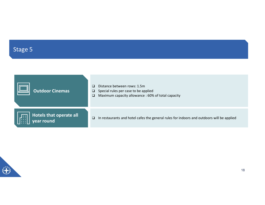# Stage 5

| Stage 5                                    |                                                                                                                                                         |
|--------------------------------------------|---------------------------------------------------------------------------------------------------------------------------------------------------------|
|                                            |                                                                                                                                                         |
| <b>Outdoor Cinemas</b>                     | Distance between rows: 1.5m<br>$\Box$<br>Special rules per case to be applied<br>$\Box$<br>Maximum capacity allowance : 60% of total capacity<br>$\Box$ |
| Hotels that operate all<br>圕<br>year round | In restaurants and hotel cafes the general rules for indoors and outdoors will be applied<br>$\Box$                                                     |

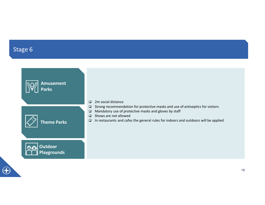## Stage 6

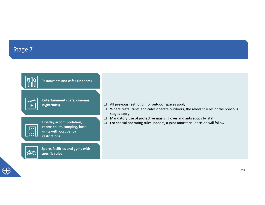## Stage 7



**ARI**  $\blacktriangleright$ 

Restaurants and cafes (indoors)

Entertainment (bars, cinemas, nightclubs)

|    | п  | п |  |
|----|----|---|--|
| __ |    | ī |  |
| ۰  | п  | ۰ |  |
| ۰  | ┓  | ŋ |  |
| п  | ٠. | ٠ |  |

Holiday accommodation, rooms to let, camping, hotel units with occupancy restrictions



Sports facilities and gyms with specific rules

- All previous restriction for outdoor spaces apply
- Αρχική εκδήλωση και Where restaurants and cafes operate outdoors, the relevant rules of the previous stages apply
- περιορισμός του εκταιρισμός του επιστροποιεία του προσωπικό του προσωπικό του προσωπικό του στο προσωπικό του<br>
αποτελεί που Ματαστολικού στο προτελεύται στο προσωπικό του στο προσωπικό του στο προσωπικό του στο προσωπικό
	- $\Box$  For special operating rules indoors, a joint ministerial decision will follow